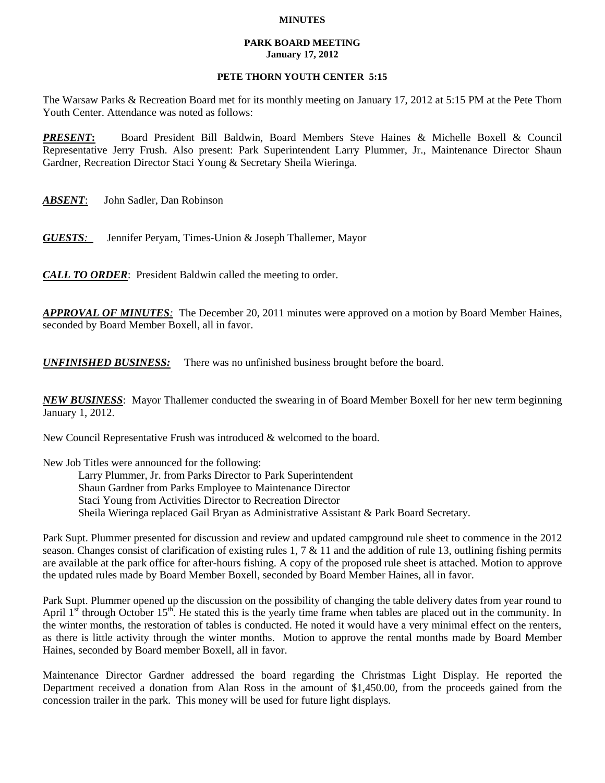## **MINUTES**

## **PARK BOARD MEETING January 17, 2012**

## **PETE THORN YOUTH CENTER 5:15**

The Warsaw Parks & Recreation Board met for its monthly meeting on January 17, 2012 at 5:15 PM at the Pete Thorn Youth Center. Attendance was noted as follows:

*PRESENT***:** Board President Bill Baldwin, Board Members Steve Haines & Michelle Boxell & Council Representative Jerry Frush. Also present: Park Superintendent Larry Plummer, Jr., Maintenance Director Shaun Gardner, Recreation Director Staci Young & Secretary Sheila Wieringa.

*ABSENT*: John Sadler, Dan Robinson

*GUESTS:*Jennifer Peryam, Times-Union & Joseph Thallemer, Mayor

*CALL TO ORDER*: President Baldwin called the meeting to order.

*APPROVAL OF MINUTES:* The December 20, 2011 minutes were approved on a motion by Board Member Haines, seconded by Board Member Boxell, all in favor.

*UNFINISHED BUSINESS:* There was no unfinished business brought before the board.

*NEW BUSINESS*: Mayor Thallemer conducted the swearing in of Board Member Boxell for her new term beginning January 1, 2012.

New Council Representative Frush was introduced & welcomed to the board.

New Job Titles were announced for the following:

Larry Plummer, Jr. from Parks Director to Park Superintendent Shaun Gardner from Parks Employee to Maintenance Director Staci Young from Activities Director to Recreation Director Sheila Wieringa replaced Gail Bryan as Administrative Assistant & Park Board Secretary.

Park Supt. Plummer presented for discussion and review and updated campground rule sheet to commence in the 2012 season. Changes consist of clarification of existing rules 1, 7  $\&$  11 and the addition of rule 13, outlining fishing permits are available at the park office for after-hours fishing. A copy of the proposed rule sheet is attached. Motion to approve the updated rules made by Board Member Boxell, seconded by Board Member Haines, all in favor.

Park Supt. Plummer opened up the discussion on the possibility of changing the table delivery dates from year round to April  $1<sup>st</sup>$  through October  $15<sup>th</sup>$ . He stated this is the yearly time frame when tables are placed out in the community. In the winter months, the restoration of tables is conducted. He noted it would have a very minimal effect on the renters, as there is little activity through the winter months. Motion to approve the rental months made by Board Member Haines, seconded by Board member Boxell, all in favor.

Maintenance Director Gardner addressed the board regarding the Christmas Light Display. He reported the Department received a donation from Alan Ross in the amount of \$1,450.00, from the proceeds gained from the concession trailer in the park. This money will be used for future light displays.